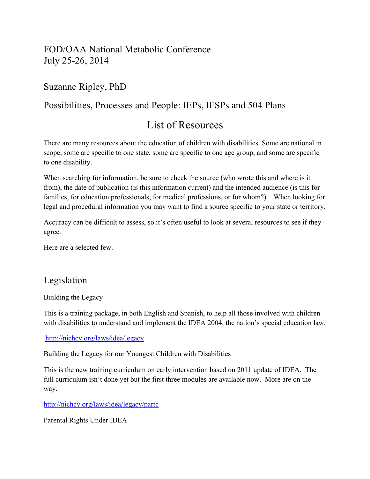# FOD/OAA National Metabolic Conference July 25-26, 2014

# Suzanne Ripley, PhD

## Possibilities, Processes and People: IEPs, IFSPs and 504 Plans

# List of Resources

There are many resources about the education of children with disabilities. Some are national in scope, some are specific to one state, some are specific to one age group, and some are specific to one disability.

When searching for information, be sure to check the source (who wrote this and where is it from), the date of publication (is this information current) and the intended audience (is this for families, for education professionals, for medical professions, or for whom?). When looking for legal and procedural information you may want to find a source specific to your state or territory.

Accuracy can be difficult to assess, so it's often useful to look at several resources to see if they agree.

Here are a selected few.

## Legislation

Building the Legacy

This is a training package, in both English and Spanish, to help all those involved with children with disabilities to understand and implement the IDEA 2004, the nation's special education law.

http://nichcy.org/laws/idea/legacy

Building the Legacy for our Youngest Children with Disabilities

This is the new training curriculum on early intervention based on 2011 update of IDEA. The full curriculum isn't done yet but the first three modules are available now. More are on the way.

http://nichcy.org/laws/idea/legacy/partc

Parental Rights Under IDEA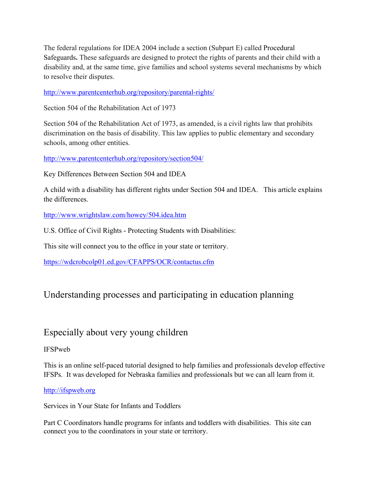The federal regulations for IDEA 2004 include a section (Subpart E) called Procedural Safeguards**.** These safeguards are designed to protect the rights of parents and their child with a disability and, at the same time, give families and school systems several mechanisms by which to resolve their disputes.

http://www.parentcenterhub.org/repository/parental-rights/

Section 504 of the Rehabilitation Act of 1973

Section 504 of the Rehabilitation Act of 1973, as amended, is a civil rights law that prohibits discrimination on the basis of disability. This law applies to public elementary and secondary schools, among other entities.

http://www.parentcenterhub.org/repository/section504/

Key Differences Between Section 504 and IDEA

A child with a disability has different rights under Section 504 and IDEA. This article explains the differences.

http://www.wrightslaw.com/howey/504.idea.htm

U.S. Office of Civil Rights - Protecting Students with Disabilities:

This site will connect you to the office in your state or territory.

https://wdcrobcolp01.ed.gov/CFAPPS/OCR/contactus.cfm

# Understanding processes and participating in education planning

## Especially about very young children

## IFSPweb

This is an online self-paced tutorial designed to help families and professionals develop effective IFSPs. It was developed for Nebraska families and professionals but we can all learn from it.

## http://ifspweb.org

Services in Your State for Infants and Toddlers

Part C Coordinators handle programs for infants and toddlers with disabilities. This site can connect you to the coordinators in your state or territory.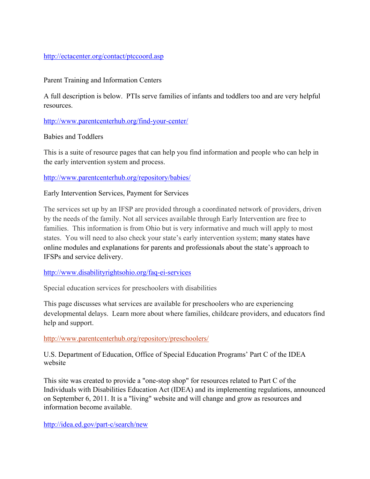### http://ectacenter.org/contact/ptccoord.asp

### Parent Training and Information Centers

A full description is below. PTIs serve families of infants and toddlers too and are very helpful resources.

http://www.parentcenterhub.org/find-your-center/

Babies and Toddlers

This is a suite of resource pages that can help you find information and people who can help in the early intervention system and process.

http://www.parentcenterhub.org/repository/babies/

Early Intervention Services, Payment for Services

The services set up by an IFSP are provided through a coordinated network of providers, driven by the needs of the family. Not all services available through Early Intervention are free to families. This information is from Ohio but is very informative and much will apply to most states. You will need to also check your state's early intervention system; many states have online modules and explanations for parents and professionals about the state's approach to IFSPs and service delivery.

### http://www.disabilityrightsohio.org/faq-ei-services

Special education services for preschoolers with disabilities

This page discusses what services are available for preschoolers who are experiencing developmental delays. Learn more about where families, childcare providers, and educators find help and support.

### http://www.parentcenterhub.org/repository/preschoolers/

U.S. Department of Education, Office of Special Education Programs' Part C of the IDEA website

This site was created to provide a "one-stop shop" for resources related to Part C of the Individuals with Disabilities Education Act (IDEA) and its implementing regulations, announced on September 6, 2011. It is a "living" website and will change and grow as resources and information become available.

http://idea.ed.gov/part-c/search/new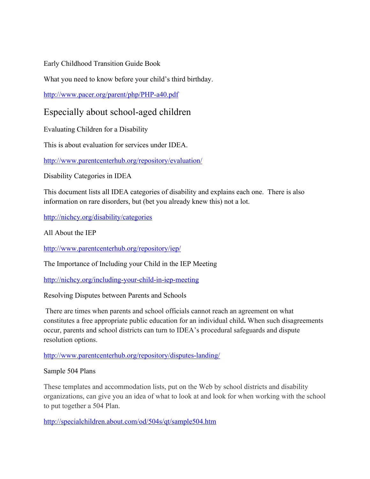Early Childhood Transition Guide Book

What you need to know before your child's third birthday.

http://www.pacer.org/parent/php/PHP-a40.pdf

## Especially about school-aged children

Evaluating Children for a Disability

This is about evaluation for services under IDEA.

http://www.parentcenterhub.org/repository/evaluation/

Disability Categories in IDEA

This document lists all IDEA categories of disability and explains each one. There is also information on rare disorders, but (bet you already knew this) not a lot.

http://nichcy.org/disability/categories

All About the IEP

http://www.parentcenterhub.org/repository/iep/

The Importance of Including your Child in the IEP Meeting

http://nichcy.org/including-your-child-in-iep-meeting

Resolving Disputes between Parents and Schools

There are times when parents and school officials cannot reach an agreement on what constitutes a free appropriate public education for an individual child**.** When such disagreements occur, parents and school districts can turn to IDEA's procedural safeguards and dispute resolution options.

http://www.parentcenterhub.org/repository/disputes-landing/

## Sample 504 Plans

These templates and accommodation lists, put on the Web by school districts and disability organizations, can give you an idea of what to look at and look for when working with the school to put together a 504 Plan.

http://specialchildren.about.com/od/504s/qt/sample504.htm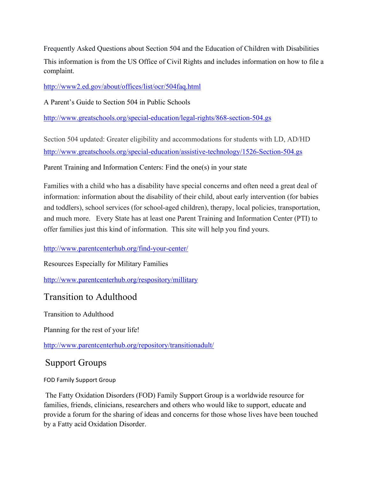Frequently Asked Questions about Section 504 and the Education of Children with Disabilities This information is from the US Office of Civil Rights and includes information on how to file a complaint.

http://www2.ed.gov/about/offices/list/ocr/504faq.html

A Parent's Guide to Section 504 in Public Schools

http://www.greatschools.org/special-education/legal-rights/868-section-504.gs

Section 504 updated: Greater eligibility and accommodations for students with LD, AD/HD http://www.greatschools.org/special-education/assistive-technology/1526-Section-504.gs

Parent Training and Information Centers: Find the one(s) in your state

Families with a child who has a disability have special concerns and often need a great deal of information: information about the disability of their child, about early intervention (for babies and toddlers), school services (for school-aged children), therapy, local policies, transportation, and much more. Every State has at least one Parent Training and Information Center (PTI) to offer families just this kind of information. This site will help you find yours.

## http://www.parentcenterhub.org/find-your-center/

Resources Especially for Military Families

http://www.parentcenterhub.org/respository/millitary

## Transition to Adulthood

Transition to Adulthood

Planning for the rest of your life!

http://www.parentcenterhub.org/repository/transitionadult/

# Support Groups

FOD Family Support Group

The Fatty Oxidation Disorders (FOD) Family Support Group is a worldwide resource for families, friends, clinicians, researchers and others who would like to support, educate and provide a forum for the sharing of ideas and concerns for those whose lives have been touched by a Fatty acid Oxidation Disorder.